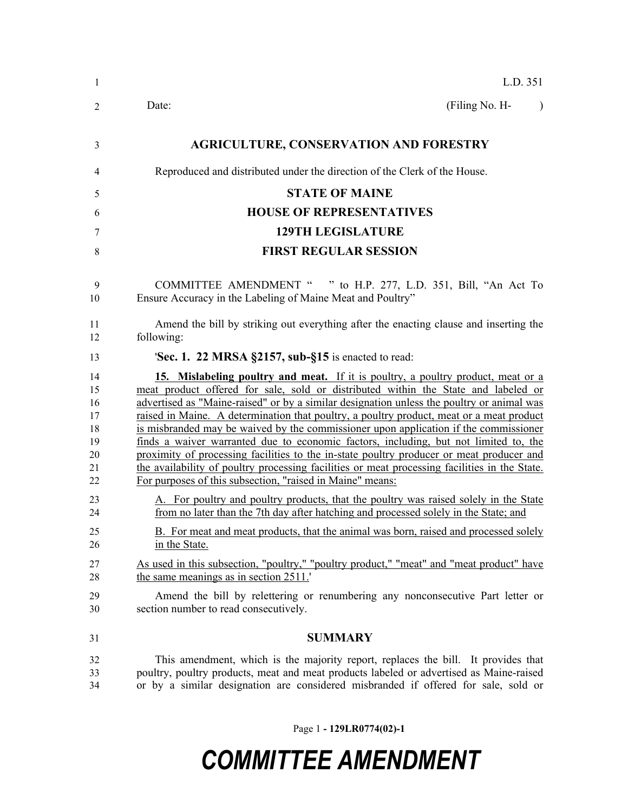| $\mathbf{1}$                                       | L.D. 351                                                                                                                                                                                                                                                                                                                                                                                                                                                                                                                                                                                                                                                                                                                                                                                                  |
|----------------------------------------------------|-----------------------------------------------------------------------------------------------------------------------------------------------------------------------------------------------------------------------------------------------------------------------------------------------------------------------------------------------------------------------------------------------------------------------------------------------------------------------------------------------------------------------------------------------------------------------------------------------------------------------------------------------------------------------------------------------------------------------------------------------------------------------------------------------------------|
| 2                                                  | (Filing No. H-<br>Date:<br>$\lambda$                                                                                                                                                                                                                                                                                                                                                                                                                                                                                                                                                                                                                                                                                                                                                                      |
| 3                                                  | <b>AGRICULTURE, CONSERVATION AND FORESTRY</b>                                                                                                                                                                                                                                                                                                                                                                                                                                                                                                                                                                                                                                                                                                                                                             |
| 4                                                  | Reproduced and distributed under the direction of the Clerk of the House.                                                                                                                                                                                                                                                                                                                                                                                                                                                                                                                                                                                                                                                                                                                                 |
| 5                                                  | <b>STATE OF MAINE</b>                                                                                                                                                                                                                                                                                                                                                                                                                                                                                                                                                                                                                                                                                                                                                                                     |
| 6                                                  | <b>HOUSE OF REPRESENTATIVES</b>                                                                                                                                                                                                                                                                                                                                                                                                                                                                                                                                                                                                                                                                                                                                                                           |
| 7                                                  | <b>129TH LEGISLATURE</b>                                                                                                                                                                                                                                                                                                                                                                                                                                                                                                                                                                                                                                                                                                                                                                                  |
| 8                                                  | <b>FIRST REGULAR SESSION</b>                                                                                                                                                                                                                                                                                                                                                                                                                                                                                                                                                                                                                                                                                                                                                                              |
| 9<br>10                                            | COMMITTEE AMENDMENT " " to H.P. 277, L.D. 351, Bill, "An Act To<br>Ensure Accuracy in the Labeling of Maine Meat and Poultry"                                                                                                                                                                                                                                                                                                                                                                                                                                                                                                                                                                                                                                                                             |
| 11<br>12                                           | Amend the bill by striking out everything after the enacting clause and inserting the<br>following:                                                                                                                                                                                                                                                                                                                                                                                                                                                                                                                                                                                                                                                                                                       |
| 13                                                 | <b>Sec. 1. 22 MRSA §2157, sub-§15</b> is enacted to read:                                                                                                                                                                                                                                                                                                                                                                                                                                                                                                                                                                                                                                                                                                                                                 |
| 14<br>15<br>16<br>17<br>18<br>19<br>20<br>21<br>22 | 15. Mislabeling poultry and meat. If it is poultry, a poultry product, meat or a<br>meat product offered for sale, sold or distributed within the State and labeled or<br>advertised as "Maine-raised" or by a similar designation unless the poultry or animal was<br>raised in Maine. A determination that poultry, a poultry product, meat or a meat product<br>is misbranded may be waived by the commissioner upon application if the commissioner<br>finds a waiver warranted due to economic factors, including, but not limited to, the<br>proximity of processing facilities to the in-state poultry producer or meat producer and<br>the availability of poultry processing facilities or meat processing facilities in the State.<br>For purposes of this subsection, "raised in Maine" means: |
| 23<br>24                                           | A. For poultry and poultry products, that the poultry was raised solely in the State<br>from no later than the 7th day after hatching and processed solely in the State; and                                                                                                                                                                                                                                                                                                                                                                                                                                                                                                                                                                                                                              |
| 25<br>26                                           | B. For meat and meat products, that the animal was born, raised and processed solely<br>in the State.                                                                                                                                                                                                                                                                                                                                                                                                                                                                                                                                                                                                                                                                                                     |
| 27<br>28                                           | As used in this subsection, "poultry," "poultry product," "meat" and "meat product" have<br>the same meanings as in section 2511.                                                                                                                                                                                                                                                                                                                                                                                                                                                                                                                                                                                                                                                                         |
| 29<br>30                                           | Amend the bill by relettering or renumbering any nonconsecutive Part letter or<br>section number to read consecutively.                                                                                                                                                                                                                                                                                                                                                                                                                                                                                                                                                                                                                                                                                   |
| 31                                                 | <b>SUMMARY</b>                                                                                                                                                                                                                                                                                                                                                                                                                                                                                                                                                                                                                                                                                                                                                                                            |
| 32<br>33<br>34                                     | This amendment, which is the majority report, replaces the bill. It provides that<br>poultry, poultry products, meat and meat products labeled or advertised as Maine-raised<br>or by a similar designation are considered misbranded if offered for sale, sold or                                                                                                                                                                                                                                                                                                                                                                                                                                                                                                                                        |

Page 1 **- 129LR0774(02)-1**

# *COMMITTEE AMENDMENT*